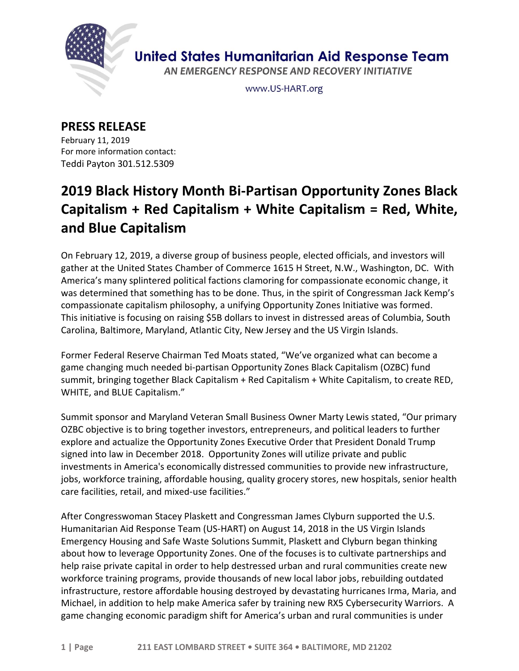

**United States Humanitarian Aid Response Team** 

AN EMERGENCY RESPONSE AND RECOVERY INITIATIVE

www.US-HART.org

## **PRESS RELEASE**

February 11, 2019 For more information contact: Teddi Payton 301.512.5309

## **2019 Black History Month Bi-Partisan Opportunity Zones Black Capitalism + Red Capitalism + White Capitalism = Red, White, and Blue Capitalism**

On February 12, 2019, a diverse group of business people, elected officials, and investors will gather at the United States Chamber of Commerce 1615 H Street, N.W., Washington, DC. With America's many splintered political factions clamoring for compassionate economic change, it was determined that something has to be done. Thus, in the spirit of Congressman Jack Kemp's compassionate capitalism philosophy, a unifying Opportunity Zones Initiative was formed. This initiative is focusing on raising \$5B dollars to invest in distressed areas of Columbia, South Carolina, Baltimore, Maryland, Atlantic City, New Jersey and the US Virgin Islands.

Former Federal Reserve Chairman Ted Moats stated, "We've organized what can become a game changing much needed bi-partisan Opportunity Zones Black Capitalism (OZBC) fund summit, bringing together Black Capitalism + Red Capitalism + White Capitalism, to create RED, WHITE, and BLUE Capitalism."

Summit sponsor and Maryland Veteran Small Business Owner Marty Lewis stated, "Our primary OZBC objective is to bring together investors, entrepreneurs, and political leaders to further explore and actualize the Opportunity Zones Executive Order that President Donald Trump signed into law in December 2018. Opportunity Zones will utilize private and public investments in America's economically distressed communities to provide new infrastructure, jobs, workforce training, affordable housing, quality grocery stores, new hospitals, senior health care facilities, retail, and mixed-use facilities."

After Congresswoman Stacey Plaskett and Congressman James Clyburn supported the U.S. Humanitarian Aid Response Team (US-HART) on August 14, 2018 in the US Virgin Islands Emergency Housing and Safe Waste Solutions Summit, Plaskett and Clyburn began thinking about how to leverage Opportunity Zones. One of the focuses is to cultivate partnerships and help raise private capital in order to help destressed urban and rural communities create new workforce training programs, provide thousands of new local labor jobs, rebuilding outdated infrastructure, restore affordable housing destroyed by devastating hurricanes Irma, Maria, and Michael, in addition to help make America safer by training new RX5 Cybersecurity Warriors. A game changing economic paradigm shift for America's urban and rural communities is under